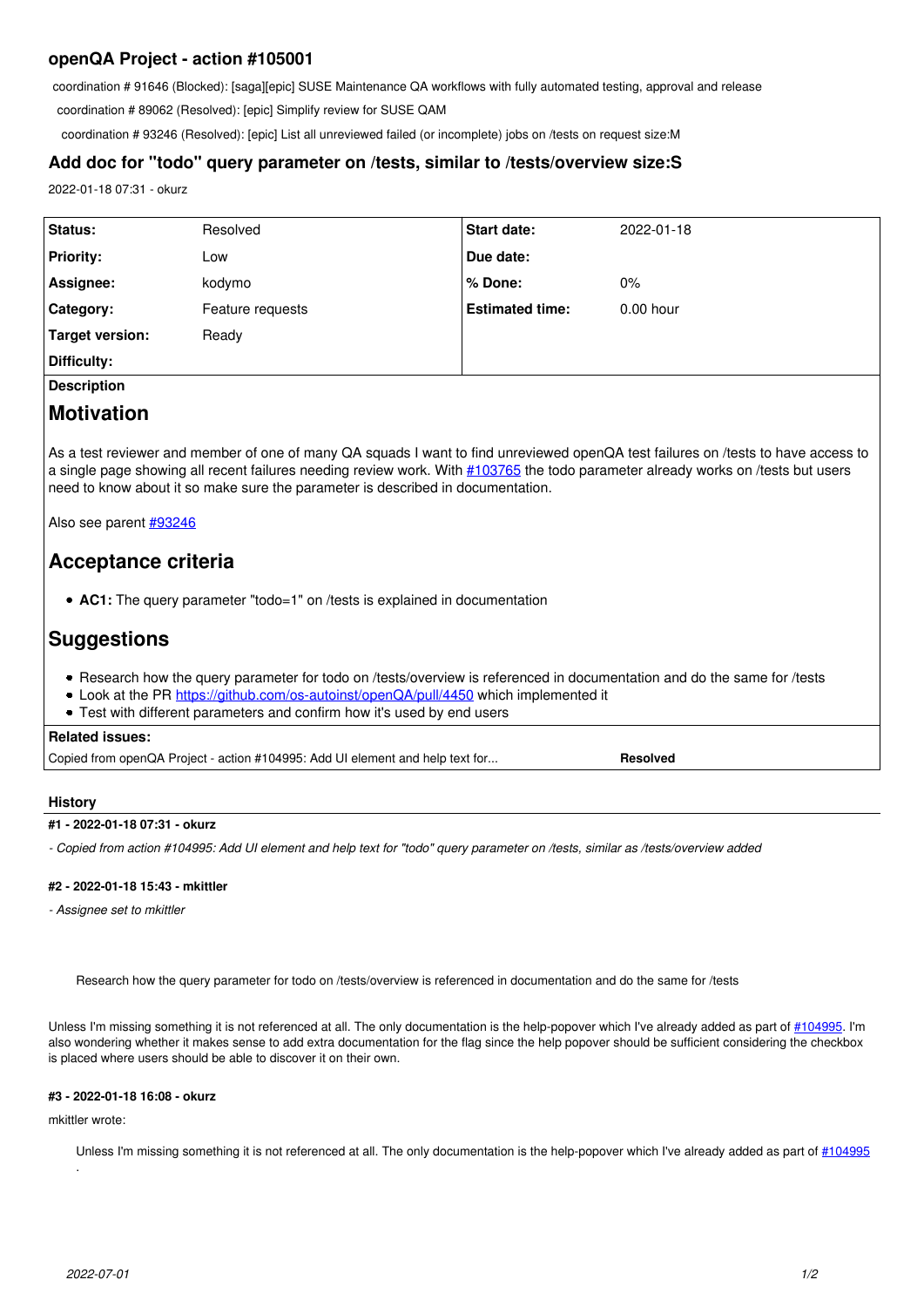# **openQA Project - action #105001**

coordination # 91646 (Blocked): [saga][epic] SUSE Maintenance QA workflows with fully automated testing, approval and release

coordination # 89062 (Resolved): [epic] Simplify review for SUSE QAM

coordination # 93246 (Resolved): [epic] List all unreviewed failed (or incomplete) jobs on /tests on request size:M

# **Add doc for "todo" query parameter on /tests, similar to /tests/overview size:S**

2022-01-18 07:31 - okurz

| Status:          | Resolved         | <b>Start date:</b>     | 2022-01-18  |
|------------------|------------------|------------------------|-------------|
| <b>Priority:</b> | Low              | Due date:              |             |
| Assignee:        | kodymo           | % Done:                | $0\%$       |
| <b>Category:</b> | Feature requests | <b>Estimated time:</b> | $0.00$ hour |
| Target version:  | Ready            |                        |             |
| Difficulty:      |                  |                        |             |

**Description**

# **Motivation**

As a test reviewer and member of one of many QA squads I want to find unreviewed openQA test failures on /tests to have access to a single page showing all recent failures needing review work. With [#103765](https://progress.opensuse.org/issues/103765) the todo parameter already works on /tests but users need to know about it so make sure the parameter is described in documentation.

Also see parent [#93246](https://progress.opensuse.org/issues/93246)

# **Acceptance criteria**

**AC1:** The query parameter "todo=1" on /tests is explained in documentation

# **Suggestions**

- Research how the query parameter for todo on /tests/overview is referenced in documentation and do the same for /tests
- Look at the PR<https://github.com/os-autoinst/openQA/pull/4450> which implemented it
- Test with different parameters and confirm how it's used by end users

## **Related issues:**

| Copied from openQA Project - action #104995: Add UI element and help text for | Resolved |
|-------------------------------------------------------------------------------|----------|
|                                                                               |          |

### **History**

#### **#1 - 2022-01-18 07:31 - okurz**

*- Copied from action #104995: Add UI element and help text for "todo" query parameter on /tests, similar as /tests/overview added*

## **#2 - 2022-01-18 15:43 - mkittler**

*- Assignee set to mkittler*

Research how the query parameter for todo on /tests/overview is referenced in documentation and do the same for /tests

Unless I'm missing something it is not referenced at all. The only documentation is the help-popover which I've already added as part of [#104995.](https://progress.opensuse.org/issues/104995) I'm also wondering whether it makes sense to add extra documentation for the flag since the help popover should be sufficient considering the checkbox is placed where users should be able to discover it on their own.

# **#3 - 2022-01-18 16:08 - okurz**

### mkittler wrote:

.

Unless I'm missing something it is not referenced at all. The only documentation is the help-popover which I've already added as part of [#104995](https://progress.opensuse.org/issues/104995)